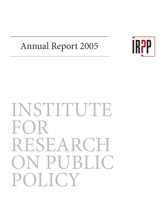# Annual Report 2005



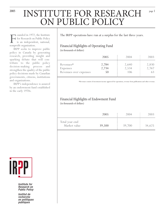# <sup>2005</sup> INSTITUTE FOR RESEARCH ON PUBLIC POLICY

Founded in 1972, the Institute<br>for Research on Public Policy<br>is an independent, national,<br>nonprofit organization. for Research on Public Policy is an independent, national, nonprofit organization.

IRPP seeks to improve public policy in Canada by generating research, providing insight and sparking debate that will contribute to the public policy decision-making process and strengthen the quality of the public policy decisions made by Canadian governments, citizens, institutions and organizations.

IRPP's independence is assured by an endowment fund established in the early 1970s.



Institute for Research on **Public Policy** 

Institut de recherche en politiques publiques

The IRPP operations have run at a surplus for the last three years.

# Financial Highlights of Operating Fund

(in thousands of dollars)

|                                                 | 2005                 | 2004                   | 2003           |
|-------------------------------------------------|----------------------|------------------------|----------------|
| Revenues*<br>Expenses<br>Revenues over expenses | 2,784<br>2,734<br>50 | 2,640<br>2,534<br>1()6 | 2,830<br>2,767 |

\*Revenues consist of investment income approved for operations, revenue from publications and other revenue.

# Financial Highlights of Endowment Fund

(in thousands of dollars)

|                                | 2005   | 2004   | 2003   |
|--------------------------------|--------|--------|--------|
| Total year-end<br>Market value | 39,500 | 39,700 | 34,625 |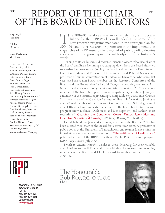# $R$  REPORT OF THE CHAIR OF THE BOARD OF DIRECTORS

Hugh Segal President

Bob Rae Chairman

Janice MacKinnon Vice-Chair

Board of Directors Peter Aucoin, Halifax Nellie Cournoyea, Inuvialuit Catherine Delaney,Toronto Peter Dobell, Ottawa Doug Emsley, Regina Ann Fitz-Gerald, UK Fred Gorbet,Toronto John Helliwell,Vancouver Shira Herzog,Toronto Pierre Marc Johnson, Montreal Kathleen Mahoney, Calgary Antonia Maioni, Montreal Barbara McDougall,Toronto Guy Saint-Pierre, Montreal Graham Scott,Toronto Bernard Shapiro, Montreal Denis Stairs, Halifax Gordon Thiessen, Ottawa Kent Weaver,Washington, DC Jodi White, Ottawa Wanda Wuttunee,Winnipeg



1470 Peel Street #200 Montreal, Quebec H3A 1T1 Tel.: 514-985-2461 Fax: 514-985-2559 irpp@irpp.org www.irpp.org

The 2004-05 fiscal year was an extremely busy and success-<br>ful one for the IRPP. Work is well underway on some of the<br>new research programs mandated in the strategic plan for<br>2004-09, and other research programs are in the ful one for the IRPP. Work is well underway on some of the new research programs mandated in the strategic plan for stage. Use of IRPP research in a myriad of public policy debates speaks well of the growing intellectual footprint of the Institute's work.

Turning to Board business, directors Germaine Gibara (also vice-chair of the Board) and Brian Flemming are stepping down from the Board after two successive four-year terms. Joining the Board as directors are Peter Aucoin, Eric Dennis Memorial Professor of Government and Political Science and professor of public administration at Dalhousie University, who since last year has been a non-Board member on the Research Committee of the Board, and the Honourable Barbara McDougall, consulting counsel at Aird & Berlis and a former foreign affairs minister, who since 2002 has been a member of the Institute representing a compatible organization. Joining as a member of the Institute representing a compatible organization is Graham Scott, chairman of the Canadian Institute of Health Information. Joining as a non-Board member of the Research Committee is Joel Sokolsky, dean of arts at RMC, a long-time external advisor to the Institute's NSMI research program (now Defence, Diplomacy and Development) and author (most recently of ["Guarding the Continental Coasts: United States Maritime](http://www.irpp.org/pm/archive/pmvol6no1.pdf) [Homeland Security and Canada,"](http://www.irpp.org/pm/archive/pmvol6no1.pdf) *IRPP Policy Matters*, March 2005).

I am delighted that Janice MacKinnon, who joined the Board in 2003, has been elected vice-chair of the Board for a three-year term. A professor of public policy at the University of Saskatchewan and former finance minister in Saskatchewan, she is also the author of ["The Arithmetic of Health Care,"](http://www.irpp.org/pm/archive/pmvol5no3.pdf) published as part of the IRPP's Health and Public Policy research program (*IRPP Policy Matters*, July 2004).

I wish to extend heartfelt thanks to those departing for their valuable contributions to the IRPP's work. I would also like to welcome incoming members of the Board, and I look forward to another productive year in 2005-06.

The Honourable Bob Rae, P.C., O.C., Q.C. Chair

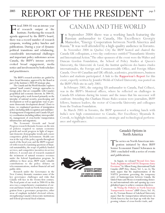# 2005 REPORT OF THE PRESIDENT

Fiscal 2004-05 was an intense year agenda approved by the IRPP's board, of research output at the Institute. Furthering the research there was a record number of research symposia, working policy lunches and publications. During a year of dynamic political transitions and rebalancing, considerable international challenges and important policy milestones across Canada, the IRPP's intense activity evoked broad engagement, media notice and involvement by both scholars and practitioners.

The IRPP's research activities are guided by three broad thematics, approved by the Board as part of the Institute's 2004-09 strategic plan.

The Canada and the World thematic explores optimal "small country" strategic approaches to foreign policy that are compatible with Canada's geopolitical and economic interests. In 2004-05, our foreign policy work focused primarily on the interplay of national security, peacekeeping and development as well as appropriate ways to promote democratic development abroad. Closer to home, we emphasized questions of immigration policy (including skills recognition and multilateral management of migration) and Canada-US policy coordination (including military interoperability, management of cross-border transportation infrastructure and migration).

The Economic Growth and Social Progress research thematic focuses on the mix of policies required to sustain economic growth and social progress in light of important domestic demographic trends and a more competitive global environment. Health care was at the top of the policy agenda throughout much of the fiscal year, and the IRPP responded with research examining questions of financial sustainability, the scope of publicly funded services, and competitive incentives in service delivery. A second axis of research examined the treatment of natural resource revenues under the federal Equalization program. In addition to these areas, IRPP made valuable contributions to the policy debates on telecommunications, student financial aid and public debt.

Research under the Governance in the New Century thematic examines some of the key governance challenges and risks that Canada will face in the twenty-first century. The focal point of our work in 2004-05 in this area was a comprehensive examination of current and future trends in North American integration from a governance perspective; other areas of emphasis included electoral reform, strengthening Canada's democratic institutions and federal-provincial fiscal relations.

# CANADA AND THE WORLD

In September 2004 there was a working lunch featuring the Russian ambassador to Canada, His Excellency Georgiy Mamedov, "Energy Cooperation between North America and Russia." It was well attended by a high-quality audience n September 2004 there was a working lunch featuring the Russian ambassador to Canada, His Excellency Georgiy Mamedov, "Energy Cooperation between North America and

In November 2004 in Quebec City the IRPP hosted and chaired the Canada-UK colloquium, a two-day conference entitled "Transatlantic Identity and International Action."The other sponsors of the event were the Walter and Duncan Gordon Foundation, the School of Policy Studies at Queen's University, the Université de Laval, the Institut québécois des hautes études internationales, the Foreign and Commonwealth Office, and Foreign Affairs Canada. Over 60 Canadian and UK officials, academics, practitioners, business leaders and students participated. A link to the [Rapporteur's Report](http://www.irpp.org/events/archive/nov04UK/welsh.pdf) for this event, expertly written by Jennifer Welsh of Oxford University, was posted on the IRPP's Web site in early 2005.

In February 2005, the outgoing US ambassador to Canada, Paul Cellucci, was in the IRPP's Montreal offices, where he reflected on challenges in Canada-US relations during his tenure and the issues that his successor will confront. Attending this Chatham House Rules session were journalists, IRPP fellows, business leaders, the rector of Concordia University and colleagues from the Trudeau Foundation.

In March 2005 in Toronto, the IRPP sponsored a working lunch with India's new high commissioner to Canada, Her Excellency Shyamala B. Cowsik, to highlight India's economic, strategic and technological performance and significance.



Canada's Options in North America

The series on North American integration initiated by then IRPP Senior Economist Daniel Schwanen in 2001 concluded with a series of events and publications.

In August, we released ["Beyond Zero Sum:](http://www.irpp.org/pm/archive/pmvol5no6.pdf) [Trade, Regulation and NAFTA's Temporary Entry](http://www.irpp.org/pm/archive/pmvol5no6.pdf) [Provisions,"](http://www.irpp.org/pm/archive/pmvol5no6.pdf) by Allison Young (International Trade Canada) (*IRPP Policy Matters,* Vol. 5, no. 6). The study argues that the implementation of the NAFTA provisions governing the temporary entry of businesspersons between Canada, the United States and Mexico is transforming domestic and international rules and opening up a new globalized space to achieve common objectives.

In ["Fixing the Potholes in North American](http://www.irpp.org/choices/archive/vol10no8.pdf) [Transportation Systems"](http://www.irpp.org/choices/archive/vol10no8.pdf) (*IRPP Choices*, Vol. 10, no. 8), Norman Bonsor of Lakehead University argues that the transportation infrastructure in North America has not kept up with the burgeoning volume of cross-border trade, and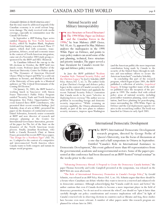In September a *IRPP Working Paper* series entit[led Mapping the New North American](http://www.irpp.org/wp/archive/NA_integ/papers.htm) [Reality,](http://www.irpp.org/wp/archive/NA_integ/papers.htm) edited by Stephen Blank, Stephanie Golob and Guy Stanley, was released.These 17 papers, which deal with economic, transportation, defence, social and economic issues in the context of North American integration, came out of a November 2003 study group cosponsored by the IRPP and HÉC-Montreal.

As Canadians followed the run-up to the US elections in October, the IRPP held two timely events. Professor James Thurber of the American University Centre for Politics spoke on "The Dynamics of American Electoral Choice:What to Expect and Why" to a sold-out audience in Toronto, and Michael Lewis-Beck of the University of Iowa spoke to a Montreal audience on "The Critical Determinants of the Coming US Election."

On January 24, 2005, the IRPP hosted a working lunch in Vancouver with Simon Fraser University's Public Policy Program entitled "Security, Trade and North American Integration: Key Policy Opportunities." The event featured three IRPP contributors, who presented their recent research findings. Joel Sokolsky, dean of arts at RMC, presented his paper on the dynamics of continental security. Daniel Schwanen, formerly senior economist at IRPP and now director of research and strategic planning at the Centre for International Governance Innovation, presented his paper for The Art of the State on the dynamics of the North American treaty process. Finally, Jonathan Kesselman, who holds a Canada Research Chair at Simon Fraser, presented his recent *IRPP Choices* paper, ["Tax Design for a Northern Tiger](http://www.irpp.org/choices/archive/vol10no1.pdf)" (Vol. 10, no. 1) adapted to the context of a competitive and interconnected North America where Canada wants to both compete and sustain its unique social programs.

# National Security and Military Interoperability

[Force Structure or Forced Structure?](http://www.irpp.org/choices/archive/vol10no5.pdf) 1990s," by Sean Maloney (*IRPP Choices,* The 1994 White Paper on Defence and the Canadian Forces in the Vol. 10, no. 5), appeared in May. Maloney analyzes the inadequacies in the 1994 White Paper on Defence, and points to ways policy-makers can avoid some of the past planning, technical, force structure and priority mistakes.The paper served a base document for Canada's recent foreign and defence policy review.  $\alpha$ 

In June the IRPP published ["Realism](http://www.irpp.org/pm/archive/pmvol5no2.pdf) [Canadian Style: National Security Policy and](http://www.irpp.org/pm/archive/pmvol5no2.pdf) [the Chrétien Legacy,"](http://www.irpp.org/books/archive/16518921.htm) by Joel J. Sokolsky (*IRPP Policy Matters*,Vol. 5, no. 2). The author looks at Jean Chrétien's foreign and defence policy legacy in the context of Canada's security relations with the United States and applauds the recent National Security Policy's contention that Canada needs to be more "selective in deploying forces overseas."The author sees no problem in reconciling foreign and domestic security imperatives. "While retaining an overseas capability, the Ottawa administration should, as part of the new plans to enhance security measures, impress upon Washington



(and the American public) the more important contribution being made by Canada to the security of the United States through its military and non-military efforts to secure the American homeland," concludes Sokolsky.

In concluding this part of the research program, which began in June 2001, the IRPP published a collection of articles, *[Geopolitical](http://www.irpp.org/pm/archive/pmvol5no2.pdf) [Integrity](http://www.irpp.org/events/archive/sep04/axworthy_campbell.pdf)*. It brings together many of the studies published since the inception of the program in 1999. The studies deal with critical policy areas of national security, including postconflict transition planning, naval coordination, land force planning for peacekeeping, issues surrounding the 1994 White Paper on Defence and the real deployment capacity relative to the second Iraq conflict.The book was launched in Ottawa in early April 2005.



# International Democratic Development

The IRPP's International Democratic Development<br>
research program, directed by George Perlin of<br>
Queen's University, was the focus of discussions at<br>
a one-day-and-a-half symposium in Ottawa in September. research program, directed by George Perlin of Queen's University, was the focus of discussions at Entitled "Canada's Role in International Assistance to

Democratic Development," this event gathered more than 60 representatives from the governmental, academic and nongovernmental sectors. Some of the papers presented at this conference had been discussed on an IRPP-hosted "virtual seminar" in the weeks prior to the event.

["Advancing Democracy Abroad: A Proposal to Create the Democracy Canada Institute,"](http://www.irpp.org/books/archive/16518921.htm) the paper Thomas Axworthy and Leslie Campbell presented at the symposium, was released on the IRPP Web site soon afterwards.

["The Role of International Democracy Promotion in Canada's Foreign Policy,"](http://www.irpp.org/pm/archive/pmvol5no10.pdf) by Gerald Schmitz, was released as an *IRPP Policy Matters* (Vol. 5, no. 10). Schmitz argues that there should be a forum where Canadians can debate whether they want to invest in a renewed and enhanced role in democratic assistance. Although acknowledging that "Canada could do more and better," the author cautions that even if Canada decides to become a more important player in the field of democracy promotion, "we do not need to reinvent the wheel"; nor should we "spin it faster than carefully thought out policy considerations and resource implications will allow." In light of Canada's renewed role in observing elections in countries such as Ukraine and Iraq, these studies have become even more relevant. A number of other papers under this research program are planned for release later in 2005.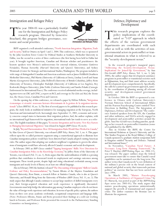The year 2004-05 was a particularly fruitful one for the Immigration and Refugee Policy research program. Directed by Geneviève Bouchard, this program bridges governance, ecoone for the Immigration and Refugee Policy research program. Directed by Geneviève nomic and social priorities.



IRPP organized a well-attended conference[,"North American Integration: Migration,Trade](http://www.irpp.org/events/archive/0404pap.htm) [and Security,"](http://www.irpp.org/events/archive/0404pap.htm) held in Ottawa on April 1 and 2, 2004.This conference, which was co-sponsored by the John Goodwin Tower Center for Political Studies at Southern Methodist University in Dallas, was the second in a series of three conferences (the first having been held in Dallas last year). It brought together American, Canadian and Mexican scholars and practitioners: the keynote speakers were Mexico's undersecretary for external relations, Géronimo Gutiérrez Fernández; Thomas Axworthy (Harvard University and Queen's University); and Sydney Weintraub (Center for Strategic and International Studies,Washington).The program included a wide range of distinguished Canadian and American academics such as James Hollifield (Southern Methodist University), Phil Martin (University of California at Davis), Lindsay Lowell and Susan Martin (Georgetown University), John Helliwell (University of British Columbia), Jeffrey Reitz (University of Toronto), Christopher Rudolph (University of California at Los Angeles), Rey Koslowski (Rutgers University), John Noble (Carleton University) and Sandra Polaski (Carnegie Endowment for International Peace).The conference received substantial media coverage, including interviews on CBC and CPAC, a report on RCI, and coverage in *The Globe and Mail*, the *Toronto Star*, the *Ottawa Citizen*, Canadian Press and Canwest.

On the opening day of this conference, we released a paper by Hélène Pellerin, ["Intégration](http://www.irpp.org/fr/choices/archive/vol10no3.pdf) [économique et sécurité: nouveaux facteurs déterminants de la gestion de la migration interna](http://www.irpp.org/fr/choices/archive/vol10no3.pdf)[tionale"](http://www.irpp.org/choices/archive/vol10no6.pdf)(*Choix IRPP,*Vol. 10, no. 3).The first of several papers to be published in this research program, the study looks at multilateral initiatives for managing migration at the European, North American and international levels. Increasingly since September 11, 2001, economic and security concerns compel states to harmonize their migration policies. And, the author explains, with no international legal framework for migration, international trade law tends to serve as a reference.The English translation of this paper,["Economic Integration and Security: New Key Factors](http://www.irpp.org/choices/archive/vol10no6.pdf) [in Managing International Migration,"](http://www.irpp.org/choices/archive/vol10no6.pdf)was released in August (*IRPP Choices* 10, no.6).

In July,["Beyond Harmonization: How US Immigration Rules Would Have Worked in Canada,"](http://www.irpp.org/pm/archive/pmvol5no4.pdf) by Alan Green of Queen's University, was released (*IRPP Policy Matters*,Vol. 5, no. 4.This paper reflects upon the so-called perimeter argument using a counterfactual approach to illustrate how Canadian immigration policies would have been distorted had Canada adopted existing American rules.The author argues that adopting our southern neighbour's regulations to govern the admissions of immigrants would have adversely affected Canada's economic and social development.

In February 2005 an *IRPP Choices* entitled ["Tapping Immigrants' Skills: New Directions for](http://www.irpp.org/choices/archive/vol11no1.pdf) [Canadian Immigration Policy in the Knowledge Economy,"](http://www.irpp.org/choices/archive/vol11no1.pdf) by Jeffrey Reitz of the University of Toronto, was released (Vol. 11, no. 1). Reitz argues that the underutilization of skills is a pressing problem that contributes to downward trends in employment and earnings outcomes among immigrants. These trends persist, despite high and rising educational credentials among recent immigrants and steady levels of fluency in at least one official language.

Also in February 2005 the Institute released ["The Discounting of Immigrants' Skills in Canada:](http://www.irpp.org/choices/archive/vol11no2.pdf) [Evidence and Policy Recommendations,"](http://www.irpp.org/pm/archive/pmvol5no5.pdf) by Naomi Alboim of the Maytree Foundation and Queen's University; Ross Finnie, a research fellow at Statistics Canada, who is also at Queen's University; and Ronald Meng from the University of Windsor (*IRPP Choices,*Vol. 11, no. 2).This study argues that although Canada continues to accept large numbers of skilled immigrants every year, their foreign-acquired education and work experience is significantly discounted. Governments must help bridge the information gap among Canadian employers who do not know the value of foreign work experience and education. In terms of specific policy options, the authors focus on three core areas: academic credentials, occupational competencies and language skills. (Note: Professors Alboim, Finnie and Reitz presented their findings at a sold-out working lunch in Toronto, and Professor Reitz presented his research to the Parliamentary Standing Committee on Immigration.)

## Defence, Diplomacy and Development

This research program explores the policy implications of the coordinated or "3-D" approach in which the efforts of the various government departments are coordinated with each other as well as with the activities of nongovernmental actors in postconflict or transitional situations in what is referred to as the "security-development nexus."

In the research program's inaugural paper, ["Addressing the Security-Development Nexus](http://www.irpp.org/choices/archive/vol11no2.pdf): [Implications for Joined-Up Government,"](http://www.irpp.org/pm/archive/pmvol5no5.pdf) by Ann Fitz-Gerald (*IRPP Policy Matters*, Vol. 5, no. 5, July 2004), the author argues that development assistance programs in postconflict or transitional societies such as Afghanistan, Iraq and Haiti must address security and development more comprehensively. Specifically, she calls for a joined-up government approach, namely, the coordination of planning among all relevant security- and development-centred government departments.

In October 2004 the IRPP co-sponsored a conference in Ottawa with Carleton University's Norman Patterson School of International Affairs and the Pearson Peacekeeping Centre entitled "New Directions in Building Peace: The Integration of Diplomacy, Defence and Development."The conference featured speakers from the UN, the Canadian and other militaries, and NGOs actively engaged in development and postconflict activities around the globe.Ann Fitz-Gerald was a leading panelist, speaking on her research on postconflict transition (some of it published by the IRPP).

Also in October the IRPP, the Centre for International Relations at Queen's University and the War Studies Program at the Royal Military College of Canada sponsored a graduate student symposium held in Kingston entitled "Security and Defence: National and International Issues."

In November, ["Canadian Naval Future: A](http://www.irpp.org/wp/archive/wp2004-12.pdf) [Necessary Long-Term Planning Framework,"](http://www.irpp.org/wp/archive/wp2004-12.pdf) by Peter T. Haydon (*IRPP Working Paper,* no. 2004-12), was released. The paper outlines steps the federal government must take to ensure that Canada's naval capabilities can be sustained over the long term.The author writes that Canada needs "a core definition of the military's precise role in the broad context of national and global security that transcends partisan politics," an exercise that has not been carried out since 1994.

In March 2005, ["Mature Peacekeeping](http://www.irpp.org/wp/archive/wp2005-01.pdf) [Operations as Facilitators of Organized Crime,"](http://www.irpp.org/wp/archive/wp2005-01.pdf) by Irv Marucelj, was posted as part of the *IRPP Working Paper* series (no. 2005-01). The study argues that mature peacekeeping operations unintentionally support the growth of transnational and organized crime. The author examines the Bosnian case to illustrate his argument.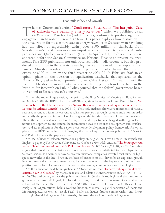### Economic Policy and Growth

T[homas Courchene's article "Confiscatory Equalization: The Intriguing Case](http://www.irpp.org/choices/archive/vol10no2.pdf)<br>of Saskatchewan's Vanishing Energy Revenues," which we published as an<br>*IRPP Choices* in March 2004 (Vol. 10, no. 2), continued to produce signific of Saskatchewan's Vanishing Energy Revenues," which we published as an *IRPP Choices* in March 2004 (Vol. 10, no. 2), continued to produce significant the equalization formula as it relates to energy revenues in Saskatchewan have long had the effect of unjustifiably taking over \$100 million in clawbacks from Saskatchewan's fiscal framework — unjust when compared to how the Atlantic provinces and Quebec were treated. (Note: In April 2004, Professor Courchene appeared before the Senate Committee on National Finance to present his arguments.This IRPP publication not only received wide media coverage, but also produced a resolution in the Saskatchewan legislature and a substantive response from Finance Minister Goodale in the form of payouts to Saskatchewan that were in excess of \$300 million by the third quarter of 2004-05. In February 2005 in an opinion piece on the question of equalization clawbacks that appeared in the *National Post*, Saskatchewan premier Lorne Calvert stated: "It wasn't until the recent publication of an influential article on the subject by Tom Courchene in the Institute for Research on Public Policy journal that the federal government began to respond to Saskatchewan's concerns.")

Still on the topic of equalization, just prior to the First Ministers' Meeting on Equalization, in October 2004, the IRPP released an *IRPP Working Paper* by Wade Locke and Paul Hobson, ["An](http://www.irpp.org/wp/archive/wp2004-10.pdf) [Examination of the Interaction between Natural Resource Revenues and Equalization Payments:](http://www.irpp.org/wp/archive/wp2004-10.pdf) [Lessons for Atlantic Canada"](http://www.irpp.org/wp/archive/wp2004-10.pdf) (no. 2004-10). The study analyzes alternative treatments of natural resource revenues within the current equalization program through various simulations in order to identify the potential impact of such changes on the transfer revenues of have-not provinces. The authors explain it is important for agencies and departments charged with regional economic development to understand the interaction between resource development and equalization and its implications for the region's economic-development policy framework. An op-ed piece by the IRPP on the impact of changing the basis of equalization was published in *The Globe and Mail* in the week the paper appeared.

On the subject of telecommunications policy, in August 2004 we released, in French and English, a paper by Yves Rabeau (Université du Québec à Montréal) entitled ["The Schumpeterian](http://www.irpp.org/choices/archive/vol10no7.pdf) [Wave in Telecommunications: Public Policy Implications"](http://www.irpp.org/choices/archive/vol10no7.pdf) (*IRPP Choices*,Vol. 10, no. 7).The author argues that unrealistic expectations and poor business models contributed to the collapse in the telecom sector. It documents how telecommunications companies invested vast sums in highspeed networks in the late 1990s on the basis of business models driven by an explosive growth in e-commerce that has yet to materialize. Rabeau concludes that the key to a dynamic and competitive market for telecom services is competition among communications technologies.

On the subject of the debt in Quebec, in October we released ["La dette publique: un défi pri](http://www.irpp.org/fr/choices/archive/vol10no9.pdf)[oritaire pour le Québec,"](http://www.irpp.org/fr/choices/archive/vol10no9.pdf) by Marcelin Joanis and Claude Montmarquette (*Choix IRPP,* Vol. 10, no. 9).The authors argue that the public debt level in Quebec is too high, and that despite the government's zero deficit goal, in place since 1996, it continues to increase. Shortly after the release of the paper the IRPP and CIRANO (the Centre for Interuniversity Research and Analysis on Organizations) held a working lunch in Montreal. A panel consisting of Joanis and Montmarquette, as well as Joseph Facal (École des hautes études commerciales) and Pierre Fortin (Université du Québec à Montréal), discussed the topic of the debt in Quebec.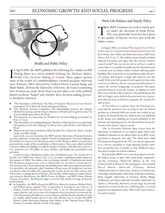

Health and Public Policy

In April 2004, the IRPP published the following five studies as *IRPP* Working Papers in a series entitled Defining the Medicare Basket:<br>Health Care Decision Making in Canada. These papers present some of the results of a n April 2004, the IRPP published the following five studies as *IRPP Working Papers* in a series entitled [Defining the Medicare Basket:](http://www.irpp.org/wp/archive/medicare_basket/papers.htm) [Health Care Decision Making in Canada.](http://www.irpp.org/wp/archive/medicare_basket/papers.htm) These papers present since February 2003. Directed by Colleen Flood, Carolyn Tuohy and Mark Stabile, all from the University of Toronto, the team is examining how decisions are made about what is in and what is out of the publicly funded medicare "basket" and whether these decision-making processes should be reformed.

- "The Boundaries of Medicare: The Role of Ontario's Physician Services Review Committee," by Colleen M. Flood and Joanna Erdman
- "The Physician Services Committee: The Relationship between the Ontario Medical Association and the Ontario Ministry of Health and Long Term Care," by Tom Archibald and Colleen M. Flood
- "Development of a Taxonomy for Health Care Decision-Making in Canada," by Peter C. Coyte
- "The Boundaries of Canadian Medicare:The Role of Medical Directors and Public Participation in Decision Making," by Mona Awad, Julia Abelson and Colleen M. Flood
- "What Is In and Out of Medicare? Who Decides?" by Colleen M. Flood, Carolyn Tuohy and Mark Stabile.

Later in the year, in November, the IRPP and the University of Toronto hosted a one-day conference in Toronto entitled "Careful Consideration: Decision Making in the Health Care System," at which the members of the Medicare Basket research team presented the results of the second phase of their project.This event, which included a keynote address by Philippe Couillard, Quebec's minister of health and social services, attracted over 100 public servants, scholars, and health care practitioners and providers.

A study by Janice MacKinnon (University of Saskatchewan), ["The Arithmetic of](http://www.irpp.org/pm/archive/pmvol5no3.pdf) [Health Care"](http://www.irpp.org/pm/archive/pmvol5no3.pdf) (*IRPP Policy Matters*, Vol. 5, no. 3), made a significant public impact in the summer of 2004.The author, who was finance minister of Saskatchewan under Roy Romanow, proposes new ways to fund health care in order to sustain the system and prevent it from squeezing out funding from other government priorities. It is inevitable, she maintains, that Canadians will pay more for health care, but how can this be achieved while still respecting the *Canada Health Act*? This release coincided with a working lunch in Toronto, also in July, which featured a panel discussion between MacKinnon, the IRPP's France St-Hilaire, and IRPP Senior Scholar Thomas Courchene. MacKinnon's paper received wide media coverage, both print and broadcast.

In September, the IRPP released an *IRPP Policy Matters* by Senators Michael Kirby and Wilbert Keon entitled ["Why Competition Is Essential in the Delivery of](http://www.irpp.org/pm/archive/pmvol5no8.pdf) [Publicly Funded Health Care Services"](http://www.irpp.org/pm/archive/pmvol5no8.pdf) (Vol. 5, no. 8). This provocative paper argues that the only way to stave off a financial crisis in medicare is to increase the cost-effectiveness of health care service delivery, and that the introduction of what are usually called "market forces" is the only effective way to do this. The IRPP hosted a panel discussion featuring both authors at the National Press Club in Ottawa to coincide with the release of the paper.

# Work-Life Balance and Family Policy

The IRPP continues its work in family policy under the direction of Sarah Fortin.<br>This year, particular focus has been given<br>to the quality of daycare services and work-life icy under the direction of Sarah Fortin. This year, particular focus has been given to the quality of daycare services and work-life balance issues.

In August 2004, we released ["Meeting the Need:A New](http://www.irpp.org/pm/archive/pmvol5no7.pdf) [Architecture for Canada's Student Financial Aid System,"](http://www.irpp.org/pm/archive/pmvol5no7.pdf) by Ross Finnie, Alex Usher and Hans Vossensteyn (*IRPP Policy Matters*, Vol. 5, no. 7). The authors assess Canada's student financial aid system and argue that the current "studentcentred model" does not do the job as well as it could to ensure that every qualified Canadian has the financial means to pursue post-secondary studies without suffering undue hardship.They enumerate several problems under the present system, and propose a single and coherent one that would "deliver the full amount of aid required to those who need it in an efficient, effective and nonwasteful manner," to replace the current hodgepodge of programs. This paper generated interest across the country: in addition to radio interviews with the CBC in Quebec City and Montreal, the SRC in Calgary, and a Global television interview, it generated editorial items in *Maclean's* magazine, the *National Post* and *La Presse*.

In November, in a context where the federal government and the provinces were meeting to turn the Liberal promise for a national child care system into reality, an oped piece by Research Director Sarah Fortin was published in the *Toronto Star*. Building on research published by the Institute and ongoing projects, she discussed the lessons for Canada of the Quebec daycare model.

Also in November Professor Janet Currie from the University of California at Los Angeles spoke about early childhood education in the United States at an IRPP working lunch in Montreal. Her talk, "The Head Start Child Development Programs in the US," was also an opportunity to convene specialists to begin planning further initiatives around the issue of quality in early childhood education and its impact on school readiness.

To help define IRPP's new research program on worklife balance issues, in May 2004 Sarah Fortin organized a one-day workshop, "Work-Life Balance in the 21st Century," held in Montreal.The participants, who included Marcel Mérette (Université d'Ottawa), Richard Chaykowski (Queen's University), Donna Lero (University of Guelph), Paul Kershaw (University of British Columbia), Brian Langille (University of Toronto), Shelley Phipps (Dalhousie) and Diane-Gabrielle Tremblay (Université du Québec à Montréal), discussed a broad range of potential options for research in this area. Following this, a research proposal was submitted in June 2004 to the board of directors and accepted.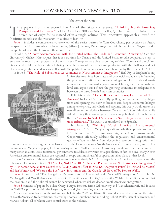## The Art of the State

[The papers from the seco](http://www.irpp.org/books/archive/16402032.htm)nd The Art of the State conference, ["Thinking North America:](http://www.irpp.org/books/archive/16402032.htm) Prospects and Pathways," held in October 2003 in Montebello, Quebec, were published in a boxed set of eight folios instead of in a single volume. This innovative approach allowed the Institute to release the research in a timely fashion.

[Folio 1](http://www.irpp.org/books/archive/AOTS2/folio_1.pdf) includes a comprehensive overview of the series written by Tom Courchene, perspectives on future prospects for North America by Peter Leslie, Jeffrey J. Schott, Debra Steger and Ma Isabel Studer Noguez, and a complete list of all the folios and their contents.

In folio 2, ["A New Accommodation with the United States: The Trade and Economic Dimension,"](http://www.irpp.org/books/archive/AOTS2/folio_1.pdf) Carleton University's Michael Hart argues that it is now time for Canada and the United States to take cooperative steps to enhance the security and prosperity of their citizens.The options are clear, according to Hart. "Canada and the United States need to take deliberate steps to bring the architecture of their relationship into line with the challenge and fact of deepening interdependence as well as with the political and security realities ushered in by the events of 9/11."

In folio 3, ["The Role of Subnational Governments in North American Integration,"](http://www.irpp.org/books/archive/AOTS2/folio_2.pdf) Earl Fry of Brigham Young



[America,"](http://www.irpp.org/books/archive/AOTS2/folio_3.pdf) by Daniel Schwanen. By spelling out mutual security obligations and opening the door to broader and deeper economic linkages among enterprises, individuals and regions, this treaty would usher in a new direction in relations between Canada, the US and Mexico, while still affirming their sovereignty. It was also published in French under the title ["Vers un traité de l'Amérique du Nord: élargir le cadre des rela](http://www.irpp.org/books/archive/AOTS2/folio_4.pdf)[tions trilatérales."](http://www.irpp.org/books/archive/AOTS2/folio_4.pdf)The treaty was translated into Spanish.

In folio 5, ["Thinking North American Environmental](http://www.irpp.org/books/archive/AOTS2/folio_5.pdf) [Management,"](http://www.irpp.org/books/archive/AOTS2/folio_5.pdf) Scott Vaughan questions whether provisions under NAFTA and the North American Agreement on Environmental Cooperation effectively address the regulatory and environmental quality effects resulting from deepening economic integration and

examines whether both agreements have created the foundation for a North American environmental regime. In her comments on Vaughan's paper, Debora VanNijnatten of Wilfrid Laurier University points out that he, along with many other analysts, looks to national governments to address environmental problems. In fact, she says, many North American environmental issues are regional in scope and much useful cooperation takes place at that level.

Folio 6 consists of three studies that assess how effectively NAFTA manages North American prospects and the relevance of new institutions: ["FTA at 15, NAFTA at 10: A Canadian Perspective on North American Integration,"](http://www.irpp.org/books/archive/AOTS2/folio_6.pdf) [by IRPP Senior Scholar Tom Courchene; "Giving Direct Effect to NAFTA: Analysis of Issues" by Armand de Mestral](http://www.irpp.org/books/archive/AOTS2/folio_6.pdf) [and Jan Winter; and "Where's the Beef? Law, Institutions and the Canada-US Border," by Robert Wolfe.](http://www.irpp.org/books/archive/AOTS2/folio_6.pdf)

[Folio 7](http://www.irpp.org/books/archive/AOTS2/folio_7.pdf) consists of "The Long-Run Determinants of Deep/Political Canada-US Integration," by John N. McDougall, and "North American Citizenship: Possibilities and Limits," by Jennifer Welsh.The studies contend that the economic and the political cannot be separated when we debate deeper North American integration.

[Folio 8](http://www.irpp.org/books/archive/AOTS2/folio_8.pdf) consists of papers by Sylvia Ostry, Maryse Robert, Jaime Zabludovsky and Alan Alexandroff, and focuses on NAFTA's position within the larger regional and global trading environments.

A very successful launch of the volume was held in May 2005 in Ottawa. It featured a panel discussion on the future of North American trade relations, chaired by Thomas Courchene and including Robert Wolfe, Daniel Schwanen, and Maryse Robert, all of whom were contributors to the volume.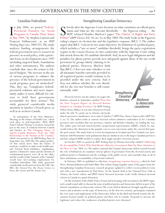## Canadian Federalism

In July 2004, we posted "Federal-<br>Provincial Transfers for Social<br>Programs in Canada: Their Status<br>[in May 2004,"](http://www.irpp.org/wp/archive/wp2004-07.pdf) by Stephen Laurent and n July 2004, we posted ["Federal-](http://www.irpp.org/wp/archive/wp2004-07.pdf)[Provincial Transfers for Social](http://www.irpp.org/wp/archive/wp2004-07.pdf) Programs in Canada: Their Status François Vaillancourt, as an *IRPP Working Paper* (no. 2004-07).The study analyzes funding arrangements the federal government uses to reassert its presence in social policy, with a particular focus on developments since 1997 (including targeted funds, foundations and other instruments). The authors conclude that, since the return to balanced budgets, "the increase in the use of various programs to enhance the presence of the federal government in social programs goes on unchecked." This, they say, "complicates federalprovincial relations and more importantly makes it more difficult for citizens to hold their governments accountable for their actions." The study garnered considerable media attention in Quebec's French press, as well as in western Canada.

In anticipation of the First Ministers' Meeting on the Future of Health Care, which took place in mid-September 2004, IRPP Senior Scholar Thomas Courchene turned his pen to the issue of relations between Canada and Quebec in ["The Changing Nature of](http://www.irpp.org/wp/archive/wp2004-08.pdf) [Quebec-Canada Relations: From the 1980](http://www.irpp.org/wp/archive/wp2004-08.pdf) Referendum to the Summit of the Canadas," which was posted as an *IRPP Working Paper* in September (no. 2004-08). The author predicted that much more than the future of medicare would be at stake at the health summit. Vertical fiscal imbalance, equalization, Quebec's distinctive status and the division of constitutional powers were all on the table, and the results of this "summit of the Canadas" would have far-reaching implications for Canadian federalism. This study generated considerable media interest from the CBC, the SRC, the *National Post*, the *Ottawa Citizen*, *La Presse*, the *Gazette* and the *Toronto Star*.

### Strengthening Canadian Democracy

Solution of the Supreme Court decision on what constitutes an official party status and what are the relevant thresholds — the Figueroa ruling — the IRPP released Heather MacIvor's paper "The Charter of Rights and Party Po **T** hortly after the Supreme Court decision on what constitutes an official party status and what are the relevant thresholds — the Figueroa ruling — the IRPP released Heather MacIvor's paper ["The Charter of Rights and Party](http://www.irpp.org/choices/archive/vol10no4.pdf) ruling's impact on election law and the legislative response, Bill C-3. The author argues that Bill C-3 meets its two main objectives. Its definition of a political party, which includes a "one or more" candidate threshold, brings the party-registration regime in the *Canada Elections Act* into conformity with the Supreme Court ruling that struck down the 50-candidate threshold.And, its new legal obligations and the penalties for phony parties provide new safeguards against abuse of the tax-credit

provisions by groups falsely claiming to be political parties. However, MacIvor finds that Bill C-3 does not state whether or not all automatic benefits currently provided to all registered parties would continue to be provided under the new criteria. And it does not address whether the vote threshold for the two-tier benefits is still constitutionally valid.

Electoral reform was the subject of a paper the Institute released in September entitled ["First Past](http://www.irpp.org/pm/archive/pmvol5no9.pdf) [the Post? Progress Report on Electoral Reform](http://www.irpp.org/pm/archive/pmvol5no9.pdf) [Initiatives in Canadian Provinces,"](http://www.irpp.org/pm/archive/pmvol5no9.pdf) by IRPP Visiting Fellow Henry Milner. It was also released in French under the title "Le point sur la réforme électorale

dans les provinces canadiennes: où se situe le Québec?" (*IRPP Policy Matters*/*Enjeux publics IRPP*,Vol. 5, no. 9). The author looks at current electoral reform initiatives undertaken in five Canadian provinces and concludes that two provinces, Quebec and British Columbia, are leading the way. The author puts forward mixed-member proportional representation (MMP), which, he says, would redress the distortion in the popular-vote-to-seat conversions under the current first-pastthe-post system.The study looks at recent developments in Scotland and New Zealand, two jurisdictions with Westminster-style parliaments that are similar in size to the larger Canadian provinces and have adopted MMP models to replace their single-member electoral systems.

In October 2004 we posted an *IRPP Working Paper* by Thomas Axworthy enti[tled "Addressing](http://www.irpp.org/wp/archive/wp2004-11.pdf) [the Accountability Deficit:Why Paul Martin's Minority Government Must Pay More Attention to](http://www.irpp.org/wp/archive/wp2004-11.pdf) [the Three A](http://www.irpp.org/wp/archive/wp2004-11.pdf)'s" (no. 2004-11).The author contends that Canada's democratic deficit extends beyond the role of Parliament; he examines various spheres of governance from the electoral system and political parties to Parliament and the workings of the public service and concludes that, in all of these institutions, accountability is frayed and confused.

In February 2005 we published a collection, *[Strengthening Canadian Democracy](http://www.irpp.org/books/archive/16363379.htm)*, edited by Paul Howe, Richard Johnston and André Blais.This volume brings together many of the papers from the Strengthening Canadian Democracy research program, updated to reflect recent political events and with a new introduction by Paul Howe. At the launch, held at the National Press Club in Ottawa, the book's editors and IRPP Senior Research Associate Leslie Seidle debated electoral reform in Canada in a panel discussion.

On the invitation of the Public Policy Forum and in keeping with our mission, the IRPP organized a small round-table to discuss the issue of political parties and democratic deficit as part of the federal consultation on democratic reform.The event, held in Montreal, brought together practitioners and academics on the topic of democracy. In the first two sessions, participants examined the root causes and implications of the democratic deficit. In the third and fourth sessions the discussions focused mainly on political parties and their role in Canada. Proposals to increase the legitimacy and reduce the weaknesses of political parties were discussed.

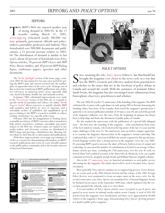# <sup>2005</sup> IRPP.ORG AND *POLICY OPTIONS* page <sup>10</sup>

[T](http://www.irpp.org/indexe.htm)he IRPP's Web site enjoyed another year of strong demand in 2004-05. In the 12 months ending March 31, 2005, www.irpp.org welcomed nearly 200,000 visiof strong demand in 2004-05. In the 12 months ending March 31, 2005, tors, primarily government officials and policymakers, journalists, professors and students.They downloaded over 900,000 documents and publications, a 25 percent increase relative to 2003- 04. The distribution of demand is similar to last year's: about 50 percent of downloads were *Policy Options* articles, 20 percent *IRPP Choices* and *IRPP Policy Matters* studies, and 30 percent *IRPP Working Papers*, conference papers, speeches and other documents.

The ["In the Spotlight"](http://www.irpp.org/indexe.htm) section of the home page, created in 2003-04, has matured to become a key portal for getting the IRPP's past and current research into the marketplace at opportune times in the news cycle. Strategic use of this section has transformed IRPP publications into definitive references in numerous policy areas, especially child care, fiscal federalism, health care and national security.

In January 2005, substantial improvements were made in the ["Newsroom"](http://www.irpp.org/newsroom) section of the Web site to respond to specific needs of journalists and editors. An onlin[e "Media](http://www.irpp.org/newsroom) [Experts Guide"](http://www.irpp.org/newsroom) allows reporters to quickly identify IRPP staff members and fellows by area of expertise, and a searchable archive of published and unpublished op-ed pieces relating to the IRPP's research is available to editors seeking commentary on a specific policy issue.

February 2005 saw the inauguration of *Thinking Ahead*, a monthly newsletter of IRPP's activities that is intended to help attract researchers, students, journalists and practitioners to the Web site. Printed copies are mailed to key media outlets, and electronic versions are distributed to IRPP's large and growing e-distribution list, allowing visitors them to click directly to information and publications.

With these improvements, www.irpp.org continues to evolve as a means for disseminating information on IRPP's research, publications and events in a user-friendly manner to the public policy community and to the broader universe of interested Internauts.





# *POLICY OPTIONS*

S ince assuming the role, *Policy Options* Editor L. Ian Macdonald has<br>brought the magazine ever closer to the news cycle in a way that<br>ties the IRPP's research and reflective analysis from practitioners<br>and scholars to th ince assuming the role, *[Policy Options](http://www.irpp.org/po)* Editor L. Ian Macdonald has brought the magazine ever closer to the news cycle in a way that ties the IRPP's research and reflective analysis from practitioners Canada and around the world. With the assistance of Assistant Editor Sarah Fortin, the magazine has also encouraged more submissions from francophone observers, practitioners and scholars.

The year 2004-05 was the 25<sup>th</sup> anniversary of the founding of the magazine. The IRPP celebrated the occasion with a gala dinner in early spring 2005 in Toronto honouring the founding editor, Tom Kent. In his remarks, Kent noted the magazine's growth from a quarterly to its current publication schedule of 10 times a year. He also noted the growth of the magazine's influence over the years. From the beginning, its purpose has always been to help shape and frame the discussions of public policy in Canada.

We also marked the anniversary with the publication of a special fully bilingual issue – the first since the founding of the magazine – with contributions from some of the best minds in Canada, who looked at the big issues of the last 25 years and the major challenges of the next 25.The anniversary issue provided a unique opportunity to examine the linguistic characteristics of the magazine's virtual readership. This confirmed that, with 32.1 percent of all Web site article requests for this special issue, French language readers have a strong interest in the magazine. Over the year 2004- 05, pursuing IRPP's goal to increase the share of French, both in terms of output and readership, we increased the number of contributions in French to an average of three feature articles per issue, excluding the 25th anniversary, over the year. As well, we invited Alain Noël, political scientist at the Université de Montréal, to be our regular columnist in French, alongside Joseph Heath and William Watson's English columns.

Also in the  $25<sup>th</sup>$  [anniversary issue](http://www.irpp.org/po/archive/po0305.htm) we launched an initiative to seek public service advertising for the magazine.The funds raised will be used to broaden *Policy Options*' circulation.

More generally, *Policy Options* continues its re-engineering process. Cover thematics, on events such as the 2004 federal election and the release of the 2005 Foreign Policy Review, were positioned to focus on major issues in the news cycle. For the second consecutive year, *Policy Options* was nominated for a National Magazine Award for Richard Gwyn's piece in the September 2004 issue, which explained why the voters first punished the Liberals, only to re-elect them.

A record number of *Policy Options* articles were excerpted as op-ed pieces and quoted in news stories in national media outlets across Canada. A total of 428,789 articles from the magazine were downloaded, and there were approximately 40,000 visitors to the magazine's home page, demonstrating *Policy Options*' growing primacy as Canada's public policy magazine.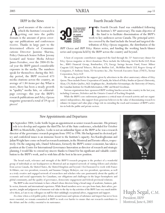### IRPP in the News

 $\sum_{\substack{\text{global}\\\text{within }}}$  which the Institute's research is<br>getting out into the public<br>domain is the amount of press coverwhich the Institute's research is  $\blacktriangle$  getting out into the public age our publications and conferences receive. Thanks in large part to the determined efforts of Communications Director Jasmine Sharma, Policy Outreach Senior Fellow Jeremy Leonard and Senior Media Adviser James Ferrabee, over the 2004-05 fiscal year the IRPP gained considerable exposure in the media. The numbers speak for themselves: during this 365 day period, the IRPP received 673 media citations across the country, an average of 1.84 items per day.What is more, there has been a steady growth in "quality" media hits, or editorialpage coverage: this year the IRPP's research publications and *Policy Options* magazine generated a total of 59 op-ed pieces!

## Fourth Decade Fund



The Fourth Decade Fund was established following<br>the Institute's 30<sup>th</sup> anniversary. The main objective of<br>the fund is to facilitate dissemination of the IRPP's<br>work to key audiences across Canada. The principal activithe Institute's 30<sup>th</sup> anniversary. The main objective of the fund is to facilitate dissemination of the IRPP's work to key audiences across Canada.The principal activities covered by the fund include the broad and targeted distribution of *Policy Options* magazine, the distribution of the

*IRPP Choices* and *IRPP Policy Matters* series, and funding the working lunch/dinner series and symposia held by the IRPP across the country and beyond.

A host of corporate contributors supported the fund through the 25<sup>th</sup> Anniversary dinner for *Policy Options* magazine or direct donations.These include the following: Aird & Berlis LLP, Alcan Inc., BMO Financial Group, Bombardier, CN, Energy Savings Income Fund, Fraser Milner Casgrain LLP, Imperial Tobacco, McLean Budden Ltd., McMillan Binch LLP, Rogers Group of Companies, P. Anthony Ennis, TD Securities Inc.,The Network Executive Team (TNET), Torstar Corporation,Torys LLP.

We are also grateful for the support given by advertisers in the silver anniversary edition of *Policy Options*.These include Power Corporation of Canada, the School of Policy Studies at Queen's University, Alcan, CN, Hydro-Québec,AGL Graphiques Inc., Bombardier Aéronautique, the University of Ottawa, the Canadian Institute for Health Information, CIBC and Beutel Goodman.

Various organizations have sponsored IRPP working lunches across the country in the last year, including Contrans, Deloittes and the Ontario Council of Teaching Hospitals.

While the IRPP's core endowment guarantees a critical mass of research activity and our organization's independence, this support from generous believers in the value of disseminating research to enhance its impact and value plays a huge role in extending the reach and resonance of IRPP's activities in both the public and private sectors.

## New Appointments and Departures

I<sub>dire</sub> n September 2004, Leslie Seidle began an appointment as senior research associate. His primary role is to develop and organize the third The Art of the State conference, scheduled for October 2005 in Montebello, Quebec. Leslie is not an unfamiliar figure at the IRPP as he was a research director of the governance research program from 1992 to 1996. His background in electoral policy and confederal issues is an immense boost to the Institute's capacity. Ara Karaboghossian and Julian Wright have come on board as research assistants, in the Montreal and Toronto offices, respectively. On the outgoing side, Daniel Schwanen, formerly the IRPP's senior economist, has taken a position at the Centre for International Governance Innovation as director of research and strategic planning. I would like to extend my sincere thanks to Daniel for his significant and valuable contribution to the IRPP's work, and to wish him all the best in his new position.

The broad reach, relevance and strength of the IRPP'S research program is the product of a wonderful group of individuals at our headquarters in Montreal and an inspired network of visiting fellows and scholars from across Canada, the United States, the United Kingdom and beyond. I feel honoured to work with France St-Hilaire, our vice-president, research, and Suzanne Ostiguy McIntyre, our vice-president, operations, as well as a truly creative and engaged network of researchers and scholars who care passionately about the quality of economic and social opportunity for Canadians, our obligations and challenges in the larger hemispheric and global community, and the quality of governance, democratic engagement and federal-provincial relations.

The IRPP is also most fortunate to have a Board whose directors bring a broad range of academic, business, public sector, domestic and international experience.While Board members serve on a pro bono basis, their advice, perspective, insight and judgment is of immense real value to the day-to-day activities of the IRPP. I am very much indebted to them, as I am to my colleagues on staff for their unfailingly exceptional advice, engagement and support.

At a time when a civil public policy debate around issues and options of substance and import has never been more essential, we remain committed at IRPP to work ever harder to ensure that our research contributes to the debate and the civility essential to its sustenance.



Hugh Segal, C.M. President, IRPP Montreal, June 6, 2005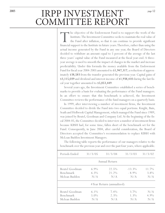# 2005 **IRPP INVESTMENT** COMMITTEE REPORT

The objective of the Endowment Fund is to support the work of the Institute. The Investment Committee seeks to maintain the real value of the Fund after inflation, so that it can continue to provide significant financial s Institute.The Investment Committee seeks to maintain the real value of the Fund after inflation, so that it can continue to provide significant actual income generated by the Fund in any one year, the Board of Directors decided to withdraw an amount equal to 5 percent of the average of the last three years' capital value of the Fund measured at the fiscal year-end. A threeyear average is used to smooth the impact of changes in the market and increase predictability. Under this formula the money available from the Endowment Fund for fiscal year 2004-2005 amounted to \$1,947,317, a reduction of approximately \$38,583 from the transfer generated the previous year. Capital gains of \$3,115,039 and dividend and interest income of \$1,938,410 during the last fiscal year together amounted to \$5,053,449.

Several years ago, the Investment Committee established a series of benchmarks to provide a basis for evaluating the performance of the Fund managers. In an effort to ensure that this benchmark is achieved, the Investment Committee reviews the performance of the fund managers on a quarterly basis.

In 1999, after interviewing a number of investment firms, the Investment Committee decided to divide the Fund into two equal portions. Knight, Bain, Seath and Holbrook Capital Management, which managed the Fund since 1989, was joined by Beutel, Goodman and Company Ltd.At the beginning of the fiscal 2004-05, the Committee decided to interview a number of investment firms because KBSH had, for some time, fallen short of the benchmark set for the Fund. Consequently, in June 2004, after careful consideration, the Board of Directors accepted the Committee's recommendation to replace KBSH with McLean Budden Investment Managers.

The following table reports the performance of our managers relative to the benchmark over the previous year and over the past four years, where applicable.

| Periods Ended                                | 31/3/05                   | 31/3/04                    | 31/3/03                      | 31/3/02                    |
|----------------------------------------------|---------------------------|----------------------------|------------------------------|----------------------------|
|                                              |                           | Annual Return              |                              |                            |
| Beutel Goodman<br>Benchmark<br>Mclean Budden | $6.9\%$<br>$6.3\%$<br>N/A | $22.5\%$<br>21.2%<br>N/A   | $-13.3\%$<br>$-8.9\%$<br>N/A | $11.7\%$<br>$3.8\%$<br>N/A |
|                                              |                           | 4 Year Return (annualized) |                              |                            |
| Beutel Goodman<br>Benchmark<br>Mclean Budden | $6.1\%$<br>$5.0\%$<br>N/A | $7.4\%$<br>$2.3\%$<br>N/A  | $3.7\%$<br>1.3%<br>N/A       | N/A<br>$4.9\%$<br>N/A      |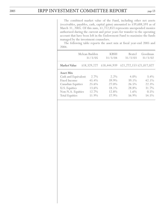The combined market value of the Fund, including other net assets (receivables, payables, cash, capital gains) amounted to \$39,688,593 as of March 31, 2005. Of this sum, \$1,712,853 represents unexpended monies authorized during the current and prior years for transfer to the operating account that have been left in the Endowment Fund to maximize the funds managed by the investment counselors.

The following table reports the asset mix at fiscal year-end 2005 and 2004.

|                                                                                                                                             | Mclean Budden<br>31/3/05                             | <b>KBSH</b><br>31/3/04                               | <b>Beutel</b><br>31/3/03                               | Goodman<br>31/3/02                                        |
|---------------------------------------------------------------------------------------------------------------------------------------------|------------------------------------------------------|------------------------------------------------------|--------------------------------------------------------|-----------------------------------------------------------|
| Market Value                                                                                                                                | \$18,329,227                                         | \$18,444,939                                         | \$21,272,153 \$21,017,027                              |                                                           |
| Asset Mix<br>Cash and Equivalent<br>Fixed Income<br><b>Canadian Equities</b><br>U.S. Equities<br>Non-N.A. Equities<br><b>Total Equities</b> | $2.7\%$<br>45.4%<br>25.6%<br>13.6%<br>12.7%<br>51.9% | $2.2\%$<br>39.9%<br>27.0%<br>18.1%<br>12.8%<br>57.9% | $4.0\%$<br>39.1%<br>26.5%<br>28.8%<br>$1.6\%$<br>56.9% | $3.4\%$<br>$42.1\%$<br>22.3%<br>31.7%<br>$0.5\%$<br>54.5% |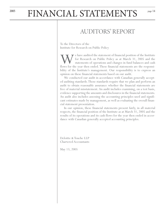# <sup>2005</sup> FINANCIAL STATEMENTS

# AUDITORS' REPORT

To the Directors of the Institute for Research on Public Policy

We have audited the statement of financial position of the Institute<br>for Research on Public Policy as at March 31, 2005 and the<br>flows for the year then ended. These financial statements are the responsifor Research on Public Policy as at March 31, 2005 and the statements of operations and changes in fund balances and cash bility of the Institute's management. Our responsibility is to express an opinion on these financial statements based on our audit.

We conducted our audit in accordance with Canadian generally accepted auditing standards.Those standards require that we plan and perform an audit to obtain reasonable assurance whether the financial statements are free of material misstatement. An audit includes examining, on a test basis, evidence supporting the amounts and disclosures in the financial statements. An audit also includes assessing the accounting principles used and significant estimates made by management, as well as evaluating the overall financial statement presentation.

In our opinion, these financial statements present fairly, in all material respects, the financial position of the Institute as at March 31, 2005 and the results of its operations and its cash flows for the year then ended in accordance with Canadian generally accepted accounting principles.

Deloitte & Touche LLP Chartered Accountants

May 13, 2005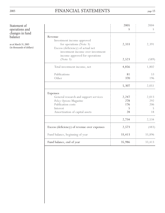# <sup>2005</sup> FINANCIAL STATEMENTS page <sup>15</sup>

Statement of operations and changes in fund balance

as at March 31, 2005 (in thousands of dollars)

|                                                       | 2005<br>\$ | 2004<br>$\mathbb{S}$ |
|-------------------------------------------------------|------------|----------------------|
|                                                       |            |                      |
| Revenue                                               |            |                      |
| Investment income approved<br>for operations (Note 3) | 2,333      | 2,391                |
| Excess (deficiency) of actual net                     |            |                      |
| investment income over investment                     |            |                      |
| income approved for operations                        |            |                      |
| (Note 3)                                              | 2,523      | (589)                |
| Total investment income, net                          | 4,856      | 1,802                |
|                                                       |            |                      |
| Publications                                          | 81         | 53                   |
| Other                                                 | 370        | 196                  |
|                                                       | 5,307      | 2,051                |
| Expenses                                              |            |                      |
| General research and support services                 | 2,247      | 2,013                |
| Policy Options Magazine                               | 278        | 292                  |
| Publication costs                                     | 176        | 206                  |
| Interest                                              | 5          | 5                    |
| Amortization of capital assets                        | 28         | 18                   |
|                                                       | 2,734      | 2,534                |
| Excess (deficiency) of revenue over expenses          | 2,573      | (483)                |
| Fund balance, beginning of year                       | 33,413     | 33,896               |
| Fund balance, end of year                             | 35,986     | 33,413               |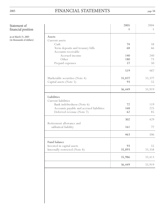# <sup>2005</sup> FINANCIAL STATEMENTS page <sup>16</sup>

# Statement of financial position

as at March 31, 2005 (in thousands of dollars)

|                                          | 2005   | 2004   |
|------------------------------------------|--------|--------|
|                                          | S      | S      |
| Assets                                   |        |        |
| Current assets                           |        |        |
| Cash                                     | 74     | 58     |
| Term deposits and treasury bills         | 68     | 66     |
| Accounts receivable<br>Accrued income    | 140    | 240    |
| Other                                    | 180    | 73     |
| Prepaid expenses                         | 57     | 50     |
|                                          |        |        |
|                                          | 519    | 487    |
| Marketable securities (Note 4)           | 35,837 | 33,377 |
| Capital assets (Note 5)                  | 93     | 55     |
|                                          |        |        |
|                                          | 36,449 | 33,919 |
| Liabilities                              |        |        |
| Current liabilities                      |        |        |
| Bank indebtedness (Note 6)               | 72     | 119    |
| Accounts payable and accrued liabilities | 168    | 225    |
| Deferred revenue (Note 7)                | 62     | 85     |
|                                          | 302    | 429    |
| Retirement allowance and                 |        |        |
| sabbatical liability                     | 161    | 77     |
|                                          | 463    | 506    |
| Fund balance                             |        |        |
| Invested in capital assets               | 93     | 55     |
| Internally restricted (Note 8)           | 35,893 | 33,358 |
|                                          |        |        |
|                                          | 35,986 | 33,413 |
|                                          | 36,449 | 33,919 |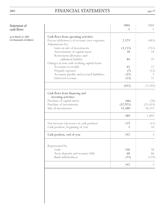# <sup>2005</sup> FINANCIAL STATEMENTS page <sup>17</sup>

# Statement of

cash flows

as at March 31, 2005 (in thousands of dollars)

|                                                                                                         | 2005<br>S                   | 2004<br>S                   |
|---------------------------------------------------------------------------------------------------------|-----------------------------|-----------------------------|
| Cash flows from operating activities<br>Excess (deficiency) of revenue over expenses<br>Adjustments for | 2,573                       | (483)                       |
| Gain on sale of investments<br>Amortization of capital assets<br>Retirement allowance and               | (3, 115)<br>28              | (751)<br>18                 |
| sabbatical liability<br>Changes in non-cash working capital items                                       | 84                          | 37                          |
| Accounts receivable<br>Prepaid expenses                                                                 | 65<br>(7)                   | 17<br>(15)                  |
| Accounts payable and accrued liabilities<br>Deferred revenue                                            | (57)<br>(23)                | 3<br>71                     |
|                                                                                                         | (452)                       | (1, 103)                    |
| Cash flows from financing and<br>investing activities                                                   |                             |                             |
| Purchase of capital assets<br>Purchase of investments<br>Sale of investments                            | (66)<br>(52, 925)<br>53,580 | (26)<br>(25, 455)<br>26,573 |
|                                                                                                         | 589                         | 1,092                       |
| Net increase (decrease) in cash position<br>Cash position, beginning of year                            | 137<br>5                    | (11)<br>16                  |
| Cash position, end of year                                                                              | 142                         | 5                           |
| Represented by<br>Cash                                                                                  | 146                         | 58                          |
| Term deposits and treasury bills<br><b>Bank</b> indebtedness                                            | 68<br>(72)                  | 66<br>(119)                 |
|                                                                                                         | 142                         | 5                           |